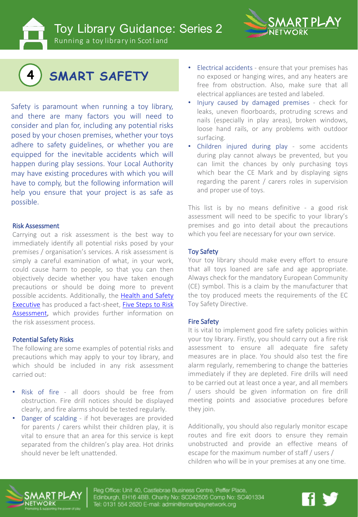Toy Library Guidance: Series 2



Running a toy library in Scotland



Safety is paramount when running a toy library, and there are many factors you will need to consider and plan for, including any potential risks posed by your chosen premises, whether your toys adhere to safety guidelines, or whether you are equipped for the inevitable accidents which will happen during play sessions. Your Local Authority may have existing procedures with which you will have to comply, but the following information will help you ensure that your project is as safe as possible.

# Risk Assessment

Carrying out a risk assessment is the best way to immediately identify all potential risks posed by your premises / organisation's services. A risk assessment is simply a careful examination of what, in your work, could cause harm to people, so that you can then objectively decide whether you have taken enough precautions or should be doing more to prevent possible accidents. [Additionally,](https://www.hse.gov.uk/) the Health and Safety Executive has produced a fact-sheet, Five Steps to Risk [Assessment,](http://www.hse.gov.uk/pubns/indg163.pdf) which provides further information on the risk assessment process.

# Potential Safety Risks

The following are some examples of potential risks and precautions which may apply to your toy library, and which should be included in any risk assessment carried out:

- Risk of fire all doors should be free from obstruction. Fire drill notices should be displayed clearly, and fire alarms should be tested regularly.
- Danger of scalding if hot beverages are provided for parents / carers whilst their children play, it is vital to ensure that an area for this service is kept separated from the children's play area. Hot drinks should never be left unattended.
- Electrical accidents ensure that your premises has no exposed or hanging wires, and any heaters are free from obstruction. Also, make sure that all electrical appliances are tested and labeled.
- Injury caused by damaged premises check for leaks, uneven floorboards, protruding screws and nails (especially in play areas), broken windows, loose hand rails, or any problems with outdoor surfacing.
- Children injured during play some accidents during play cannot always be prevented, but you can limit the chances by only purchasing toys which bear the CE Mark and by displaying signs regarding the parent / carers roles in supervision and proper use of toys.

This list is by no means definitive - a good risk assessment will need to be specific to your library's premises and go into detail about the precautions which you feel are necessary for your own service.

# Toy Safety

Your toy library should make every effort to ensure that all toys loaned are safe and age appropriate. Always check for the mandatory European Community (CE) symbol. This is a claim by the manufacturer that the toy produced meets the requirements of the EC Toy Safety Directive.

# Fire Safety

It is vital to implement good fire safety policies within your toy library. Firstly, you should carry out a fire risk assessment to ensure all adequate fire safety measures are in place. You should also test the fire alarm regularly, remembering to change the batteries immediately if they are depleted. Fire drills will need to be carried out at least once a year, and all members / users should be given information on fire drill meeting points and associative procedures before they join.

Additionally, you should also regularly monitor escape routes and fire exit doors to ensure they remain unobstructed and provide an effective means of escape for the maximum number of staff / users / children who will be in your premises at any one time.



Reg Office: Unit 40, Castlebrae Business Centre, Peffer Place, Edinburgh, EH16 4BB. Charity No: SC042505 Comp No: SC401334 Tel: 0131 554 2620 E-mail: admin@smartplaynetwork.org